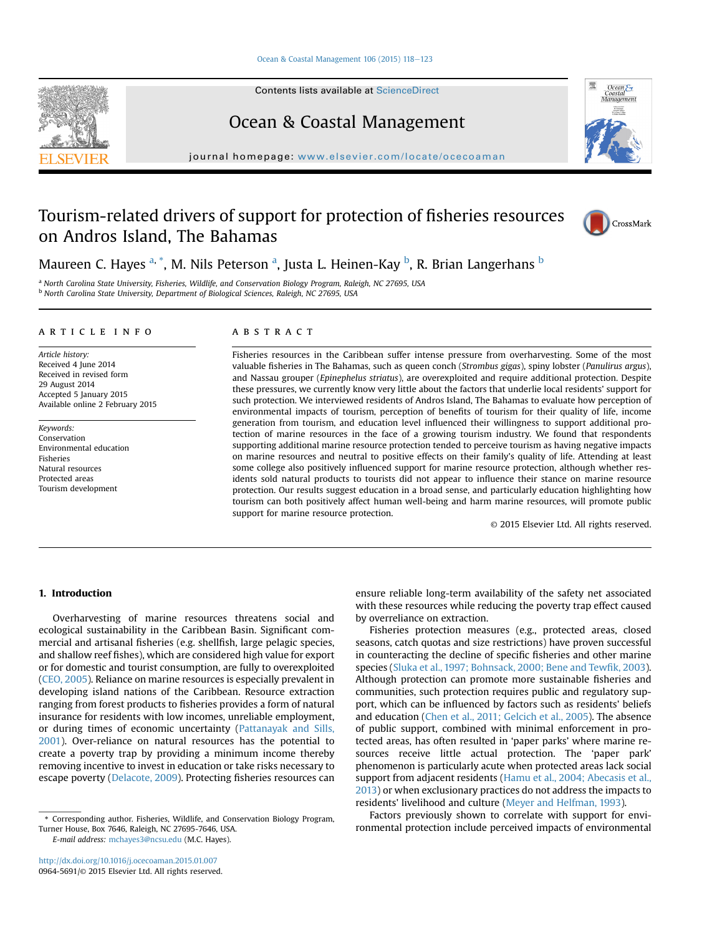#### [Ocean & Coastal Management 106 \(2015\) 118](http://dx.doi.org/10.1016/j.ocecoaman.2015.01.007)-[123](http://dx.doi.org/10.1016/j.ocecoaman.2015.01.007)

Contents lists available at ScienceDirect

## Ocean & Coastal Management

 $j<sub>i</sub>$  where  $i<sub>i</sub>$  home page: we want the complete  $o$ 

## Tourism-related drivers of support for protection of fisheries resources on Andros Island, The Bahamas



 $Ocean$ 

Maureen C. Hayes <sup>a, \*</sup>, M. Nils Peterson <sup>a</sup>, Justa L. Heinen-Kay <sup>b</sup>, R. Brian Langerhans <sup>b</sup>

<sup>a</sup> North Carolina State University, Fisheries, Wildlife, and Conservation Biology Program, Raleigh, NC 27695, USA b North Carolina State University, Department of Biological Sciences, Raleigh, NC 27695, USA

#### article info

Article history: Received 4 June 2014 Received in revised form 29 August 2014 Accepted 5 January 2015 Available online 2 February 2015

Keywords: Conservation Environmental education Fisheries Natural resources Protected areas Tourism development

### **ABSTRACT**

Fisheries resources in the Caribbean suffer intense pressure from overharvesting. Some of the most valuable fisheries in The Bahamas, such as queen conch (Strombus gigas), spiny lobster (Panulirus argus), and Nassau grouper (Epinephelus striatus), are overexploited and require additional protection. Despite these pressures, we currently know very little about the factors that underlie local residents' support for such protection. We interviewed residents of Andros Island, The Bahamas to evaluate how perception of environmental impacts of tourism, perception of benefits of tourism for their quality of life, income generation from tourism, and education level influenced their willingness to support additional protection of marine resources in the face of a growing tourism industry. We found that respondents supporting additional marine resource protection tended to perceive tourism as having negative impacts on marine resources and neutral to positive effects on their family's quality of life. Attending at least some college also positively influenced support for marine resource protection, although whether residents sold natural products to tourists did not appear to influence their stance on marine resource protection. Our results suggest education in a broad sense, and particularly education highlighting how tourism can both positively affect human well-being and harm marine resources, will promote public support for marine resource protection.

© 2015 Elsevier Ltd. All rights reserved.

### 1. Introduction

Overharvesting of marine resources threatens social and ecological sustainability in the Caribbean Basin. Significant commercial and artisanal fisheries (e.g. shellfish, large pelagic species, and shallow reef fishes), which are considered high value for export or for domestic and tourist consumption, are fully to overexploited (CEO, 2005). Reliance on marine resources is especially prevalent in developing island nations of the Caribbean. Resource extraction ranging from forest products to fisheries provides a form of natural insurance for residents with low incomes, unreliable employment, or during times of economic uncertainty (Pattanayak and Sills, 2001). Over-reliance on natural resources has the potential to create a poverty trap by providing a minimum income thereby removing incentive to invest in education or take risks necessary to escape poverty (Delacote, 2009). Protecting fisheries resources can

E-mail address: [mchayes3@ncsu.edu](mailto:mchayes3@ncsu.edu) (M.C. Hayes).

ensure reliable long-term availability of the safety net associated with these resources while reducing the poverty trap effect caused by overreliance on extraction.

Fisheries protection measures (e.g., protected areas, closed seasons, catch quotas and size restrictions) have proven successful in counteracting the decline of specific fisheries and other marine species (Sluka et al., 1997; Bohnsack, 2000; Bene and Tewfik, 2003). Although protection can promote more sustainable fisheries and communities, such protection requires public and regulatory support, which can be influenced by factors such as residents' beliefs and education (Chen et al., 2011; Gelcich et al., 2005). The absence of public support, combined with minimal enforcement in protected areas, has often resulted in 'paper parks' where marine resources receive little actual protection. The 'paper park' phenomenon is particularly acute when protected areas lack social support from adjacent residents (Hamu et al., 2004; Abecasis et al., 2013) or when exclusionary practices do not address the impacts to residents' livelihood and culture (Meyer and Helfman, 1993).

Factors previously shown to correlate with support for envi-- Corresponding author. Fisheries, Wildlife, and Conservation Biology Program, Factors previously shown to correlate with support for envi-<br>iurner House, Box 7646, Raleigh, NC 27695-7646, USA.



Turner House, Box 7646, Raleigh, NC 27695-7646, USA.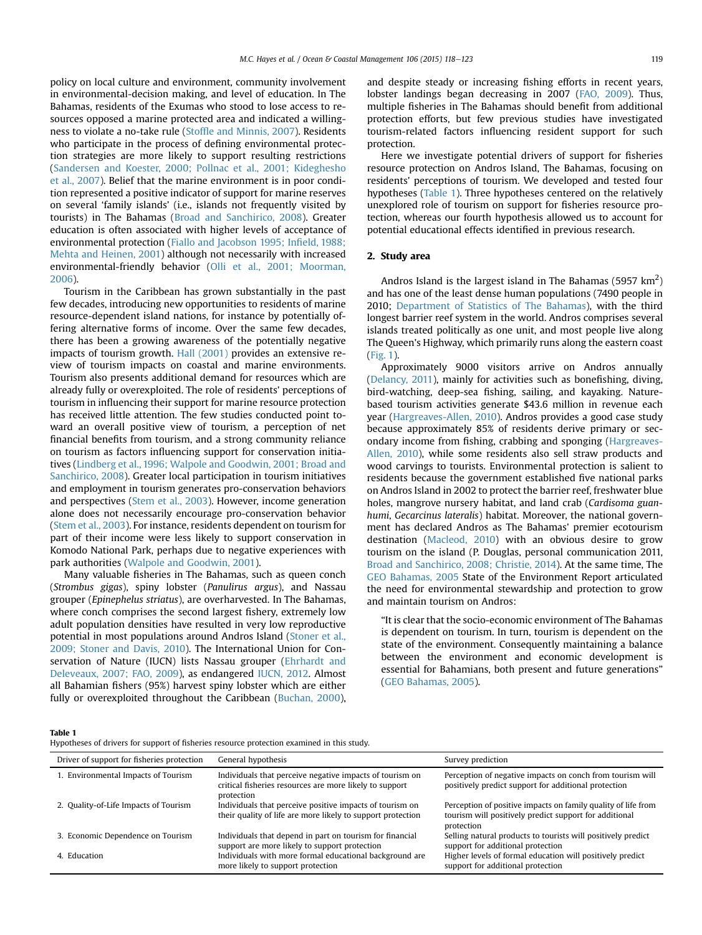policy on local culture and environment, community involvement in environmental-decision making, and level of education. In The Bahamas, residents of the Exumas who stood to lose access to resources opposed a marine protected area and indicated a willingness to violate a no-take rule (Stoffle and Minnis, 2007). Residents who participate in the process of defining environmental protection strategies are more likely to support resulting restrictions (Sandersen and Koester, 2000; Pollnac et al., 2001; Kideghesho et al., 2007). Belief that the marine environment is in poor condition represented a positive indicator of support for marine reserves on several 'family islands' (i.e., islands not frequently visited by tourists) in The Bahamas (Broad and Sanchirico, 2008). Greater education is often associated with higher levels of acceptance of environmental protection (Fiallo and Jacobson 1995; Infield, 1988; Mehta and Heinen, 2001) although not necessarily with increased environmental-friendly behavior (Olli et al., 2001; Moorman, 2006).

Tourism in the Caribbean has grown substantially in the past few decades, introducing new opportunities to residents of marine resource-dependent island nations, for instance by potentially offering alternative forms of income. Over the same few decades, there has been a growing awareness of the potentially negative impacts of tourism growth. Hall (2001) provides an extensive review of tourism impacts on coastal and marine environments. Tourism also presents additional demand for resources which are already fully or overexploited. The role of residents' perceptions of tourism in influencing their support for marine resource protection has received little attention. The few studies conducted point toward an overall positive view of tourism, a perception of net financial benefits from tourism, and a strong community reliance on tourism as factors influencing support for conservation initiatives (Lindberg et al., 1996; Walpole and Goodwin, 2001; Broad and Sanchirico, 2008). Greater local participation in tourism initiatives and employment in tourism generates pro-conservation behaviors and perspectives (Stem et al., 2003). However, income generation alone does not necessarily encourage pro-conservation behavior (Stem et al., 2003). For instance, residents dependent on tourism for part of their income were less likely to support conservation in Komodo National Park, perhaps due to negative experiences with park authorities (Walpole and Goodwin, 2001).

Many valuable fisheries in The Bahamas, such as queen conch (Strombus gigas), spiny lobster (Panulirus argus), and Nassau grouper (Epinephelus striatus), are overharvested. In The Bahamas, where conch comprises the second largest fishery, extremely low adult population densities have resulted in very low reproductive potential in most populations around Andros Island (Stoner et al., 2009; Stoner and Davis, 2010). The International Union for Conservation of Nature (IUCN) lists Nassau grouper (Ehrhardt and Deleveaux, 2007; FAO, 2009), as endangered IUCN, 2012. Almost all Bahamian fishers (95%) harvest spiny lobster which are either fully or overexploited throughout the Caribbean (Buchan, 2000), and despite steady or increasing fishing efforts in recent years, lobster landings began decreasing in 2007 (FAO, 2009). Thus, multiple fisheries in The Bahamas should benefit from additional protection efforts, but few previous studies have investigated tourism-related factors influencing resident support for such protection.

Here we investigate potential drivers of support for fisheries resource protection on Andros Island, The Bahamas, focusing on residents' perceptions of tourism. We developed and tested four hypotheses (Table 1). Three hypotheses centered on the relatively unexplored role of tourism on support for fisheries resource protection, whereas our fourth hypothesis allowed us to account for potential educational effects identified in previous research.

#### 2. Study area

Andros Island is the largest island in The Bahamas (5957  $\text{km}^2$ ) and has one of the least dense human populations (7490 people in 2010; Department of Statistics of The Bahamas), with the third longest barrier reef system in the world. Andros comprises several islands treated politically as one unit, and most people live along The Queen's Highway, which primarily runs along the eastern coast (Fig. 1).

Approximately 9000 visitors arrive on Andros annually (Delancy, 2011), mainly for activities such as bonefishing, diving, bird-watching, deep-sea fishing, sailing, and kayaking. Naturebased tourism activities generate \$43.6 million in revenue each year (Hargreaves-Allen, 2010). Andros provides a good case study because approximately 85% of residents derive primary or secondary income from fishing, crabbing and sponging (Hargreaves-Allen, 2010), while some residents also sell straw products and wood carvings to tourists. Environmental protection is salient to residents because the government established five national parks on Andros Island in 2002 to protect the barrier reef, freshwater blue holes, mangrove nursery habitat, and land crab (Cardisoma guanhumi, Gecarcinus lateralis) habitat. Moreover, the national government has declared Andros as The Bahamas' premier ecotourism destination (Macleod, 2010) with an obvious desire to grow tourism on the island (P. Douglas, personal communication 2011, Broad and Sanchirico, 2008; Christie, 2014). At the same time, The GEO Bahamas, 2005 State of the Environment Report articulated the need for environmental stewardship and protection to grow and maintain tourism on Andros:

"It is clear that the socio-economic environment of The Bahamas is dependent on tourism. In turn, tourism is dependent on the state of the environment. Consequently maintaining a balance between the environment and economic development is essential for Bahamians, both present and future generations" (GEO Bahamas, 2005).

Table 1

Hypotheses of drivers for support of fisheries resource protection examined in this study.

| Driver of support for fisheries protection | General hypothesis                                                                                                                | Survey prediction                                                                                                                     |
|--------------------------------------------|-----------------------------------------------------------------------------------------------------------------------------------|---------------------------------------------------------------------------------------------------------------------------------------|
| 1. Environmental Impacts of Tourism        | Individuals that perceive negative impacts of tourism on<br>critical fisheries resources are more likely to support<br>protection | Perception of negative impacts on conch from tourism will<br>positively predict support for additional protection                     |
| 2. Quality-of-Life Impacts of Tourism      | Individuals that perceive positive impacts of tourism on<br>their quality of life are more likely to support protection           | Perception of positive impacts on family quality of life from<br>tourism will positively predict support for additional<br>protection |
| 3. Economic Dependence on Tourism          | Individuals that depend in part on tourism for financial<br>support are more likely to support protection                         | Selling natural products to tourists will positively predict<br>support for additional protection                                     |
| 4. Education                               | Individuals with more formal educational background are<br>more likely to support protection                                      | Higher levels of formal education will positively predict<br>support for additional protection                                        |